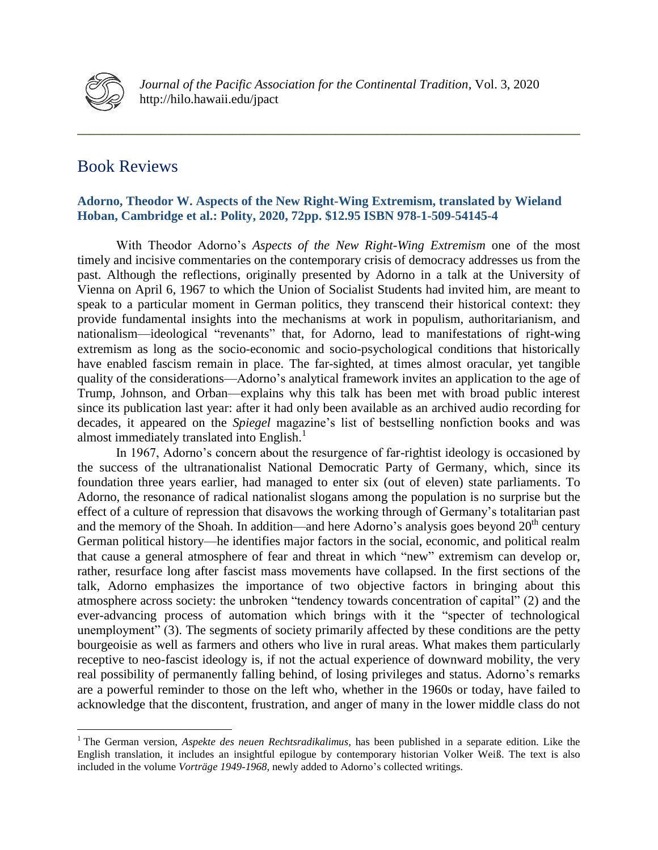

**\_\_\_\_\_\_\_\_\_\_\_\_\_\_\_\_\_\_\_\_\_\_\_\_\_\_\_\_\_\_\_\_\_\_\_\_\_\_\_\_\_\_\_\_\_\_\_\_\_\_\_\_\_\_\_\_\_\_\_\_\_\_\_\_\_\_\_\_\_\_\_\_\_\_\_\_\_\_**

## Book Reviews

## **Adorno, Theodor W. Aspects of the New Right-Wing Extremism, translated by Wieland Hoban, Cambridge et al.: Polity, 2020, 72pp. \$12.95 ISBN 978-1-509-54145-4**

With Theodor Adorno's *Aspects of the New Right-Wing Extremism* one of the most timely and incisive commentaries on the contemporary crisis of democracy addresses us from the past. Although the reflections, originally presented by Adorno in a talk at the University of Vienna on April 6, 1967 to which the Union of Socialist Students had invited him, are meant to speak to a particular moment in German politics, they transcend their historical context: they provide fundamental insights into the mechanisms at work in populism, authoritarianism, and nationalism—ideological "revenants" that, for Adorno, lead to manifestations of right-wing extremism as long as the socio-economic and socio-psychological conditions that historically have enabled fascism remain in place. The far-sighted, at times almost oracular, yet tangible quality of the considerations—Adorno's analytical framework invites an application to the age of Trump, Johnson, and Orban—explains why this talk has been met with broad public interest since its publication last year: after it had only been available as an archived audio recording for decades, it appeared on the *Spiegel* magazine's list of bestselling nonfiction books and was almost immediately translated into English.<sup>1</sup>

In 1967, Adorno's concern about the resurgence of far-rightist ideology is occasioned by the success of the ultranationalist National Democratic Party of Germany, which, since its foundation three years earlier, had managed to enter six (out of eleven) state parliaments. To Adorno, the resonance of radical nationalist slogans among the population is no surprise but the effect of a culture of repression that disavows the working through of Germany's totalitarian past and the memory of the Shoah. In addition—and here Adorno's analysis goes beyond  $20<sup>th</sup>$  century German political history—he identifies major factors in the social, economic, and political realm that cause a general atmosphere of fear and threat in which "new" extremism can develop or, rather, resurface long after fascist mass movements have collapsed. In the first sections of the talk, Adorno emphasizes the importance of two objective factors in bringing about this atmosphere across society: the unbroken "tendency towards concentration of capital" (2) and the ever-advancing process of automation which brings with it the "specter of technological unemployment" (3). The segments of society primarily affected by these conditions are the petty bourgeoisie as well as farmers and others who live in rural areas. What makes them particularly receptive to neo-fascist ideology is, if not the actual experience of downward mobility, the very real possibility of permanently falling behind, of losing privileges and status. Adorno's remarks are a powerful reminder to those on the left who, whether in the 1960s or today, have failed to acknowledge that the discontent, frustration, and anger of many in the lower middle class do not

 $\overline{a}$ <sup>1</sup> The German version, *Aspekte des neuen Rechtsradikalimus*, has been published in a separate edition. Like the English translation, it includes an insightful epilogue by contemporary historian Volker Weiß. The text is also included in the volume *Vorträge 1949-1968*, newly added to Adorno's collected writings.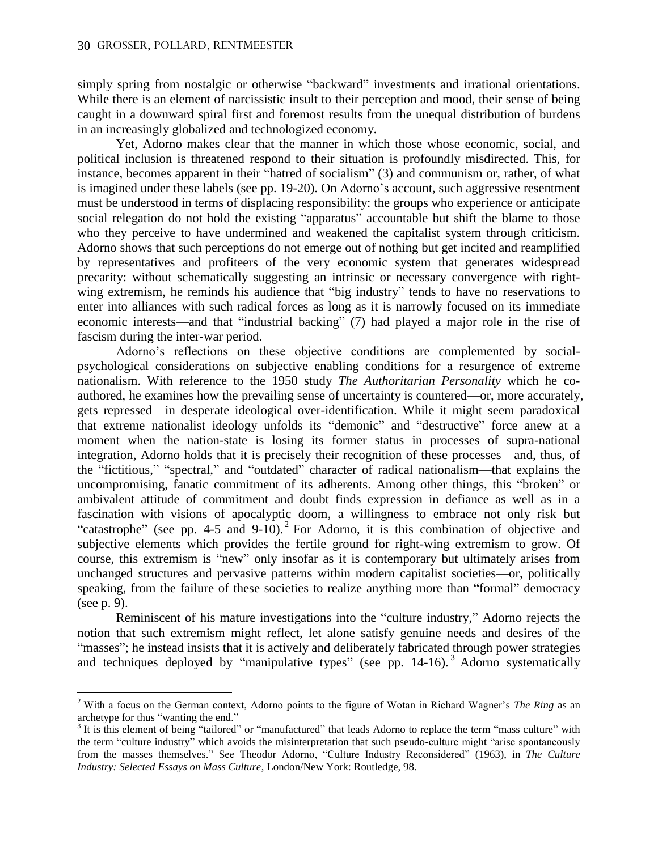$\overline{a}$ 

simply spring from nostalgic or otherwise "backward" investments and irrational orientations. While there is an element of narcissistic insult to their perception and mood, their sense of being caught in a downward spiral first and foremost results from the unequal distribution of burdens in an increasingly globalized and technologized economy.

Yet, Adorno makes clear that the manner in which those whose economic, social, and political inclusion is threatened respond to their situation is profoundly misdirected. This, for instance, becomes apparent in their "hatred of socialism" (3) and communism or, rather, of what is imagined under these labels (see pp. 19-20). On Adorno's account, such aggressive resentment must be understood in terms of displacing responsibility: the groups who experience or anticipate social relegation do not hold the existing "apparatus" accountable but shift the blame to those who they perceive to have undermined and weakened the capitalist system through criticism. Adorno shows that such perceptions do not emerge out of nothing but get incited and reamplified by representatives and profiteers of the very economic system that generates widespread precarity: without schematically suggesting an intrinsic or necessary convergence with rightwing extremism, he reminds his audience that "big industry" tends to have no reservations to enter into alliances with such radical forces as long as it is narrowly focused on its immediate economic interests—and that "industrial backing" (7) had played a major role in the rise of fascism during the inter-war period.

Adorno's reflections on these objective conditions are complemented by socialpsychological considerations on subjective enabling conditions for a resurgence of extreme nationalism. With reference to the 1950 study *The Authoritarian Personality* which he coauthored, he examines how the prevailing sense of uncertainty is countered—or, more accurately, gets repressed—in desperate ideological over-identification. While it might seem paradoxical that extreme nationalist ideology unfolds its "demonic" and "destructive" force anew at a moment when the nation-state is losing its former status in processes of supra-national integration, Adorno holds that it is precisely their recognition of these processes—and, thus, of the "fictitious," "spectral," and "outdated" character of radical nationalism—that explains the uncompromising, fanatic commitment of its adherents. Among other things, this "broken" or ambivalent attitude of commitment and doubt finds expression in defiance as well as in a fascination with visions of apocalyptic doom, a willingness to embrace not only risk but "catastrophe" (see pp. 4-5 and  $9-10$ ).<sup>2</sup> For Adorno, it is this combination of objective and subjective elements which provides the fertile ground for right-wing extremism to grow. Of course, this extremism is "new" only insofar as it is contemporary but ultimately arises from unchanged structures and pervasive patterns within modern capitalist societies—or, politically speaking, from the failure of these societies to realize anything more than "formal" democracy (see p. 9).

Reminiscent of his mature investigations into the "culture industry," Adorno rejects the notion that such extremism might reflect, let alone satisfy genuine needs and desires of the "masses"; he instead insists that it is actively and deliberately fabricated through power strategies and techniques deployed by "manipulative types" (see pp.  $14-16$ ).<sup>3</sup> Adorno systematically

<sup>2</sup> With a focus on the German context, Adorno points to the figure of Wotan in Richard Wagner's *The Ring* as an archetype for thus "wanting the end."

<sup>&</sup>lt;sup>3</sup> It is this element of being "tailored" or "manufactured" that leads Adorno to replace the term "mass culture" with the term "culture industry" which avoids the misinterpretation that such pseudo-culture might "arise spontaneously from the masses themselves." See Theodor Adorno, "Culture Industry Reconsidered" (1963), in *The Culture Industry: Selected Essays on Mass Culture*, London/New York: Routledge, 98.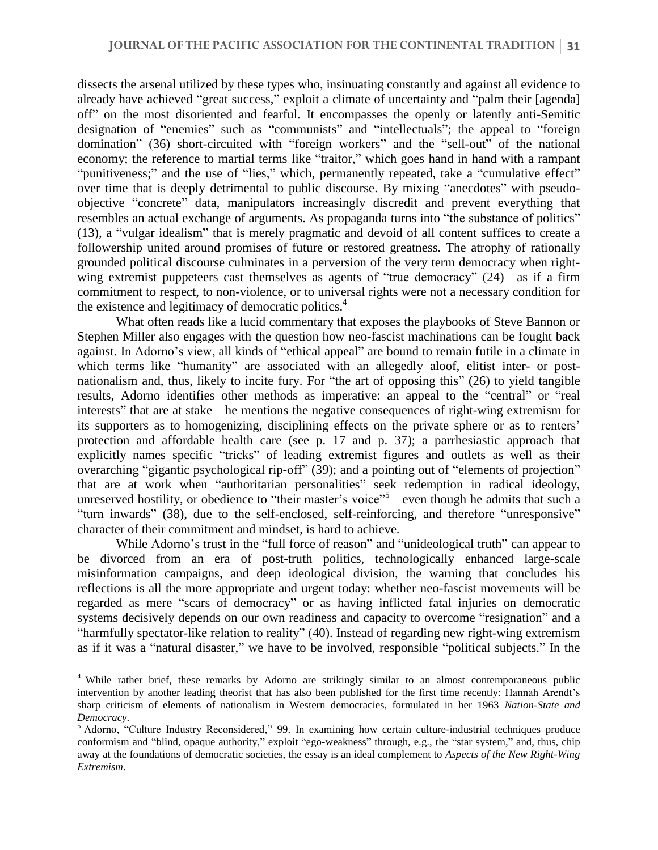dissects the arsenal utilized by these types who, insinuating constantly and against all evidence to already have achieved "great success," exploit a climate of uncertainty and "palm their [agenda] off" on the most disoriented and fearful. It encompasses the openly or latently anti-Semitic designation of "enemies" such as "communists" and "intellectuals"; the appeal to "foreign domination" (36) short-circuited with "foreign workers" and the "sell-out" of the national economy; the reference to martial terms like "traitor," which goes hand in hand with a rampant "punitiveness;" and the use of "lies," which, permanently repeated, take a "cumulative effect" over time that is deeply detrimental to public discourse. By mixing "anecdotes" with pseudoobjective "concrete" data, manipulators increasingly discredit and prevent everything that resembles an actual exchange of arguments. As propaganda turns into "the substance of politics" (13), a "vulgar idealism" that is merely pragmatic and devoid of all content suffices to create a followership united around promises of future or restored greatness. The atrophy of rationally grounded political discourse culminates in a perversion of the very term democracy when rightwing extremist puppeteers cast themselves as agents of "true democracy" (24)—as if a firm commitment to respect, to non-violence, or to universal rights were not a necessary condition for the existence and legitimacy of democratic politics. 4

What often reads like a lucid commentary that exposes the playbooks of Steve Bannon or Stephen Miller also engages with the question how neo-fascist machinations can be fought back against. In Adorno's view, all kinds of "ethical appeal" are bound to remain futile in a climate in which terms like "humanity" are associated with an allegedly aloof, elitist inter- or postnationalism and, thus, likely to incite fury. For "the art of opposing this" (26) to yield tangible results, Adorno identifies other methods as imperative: an appeal to the "central" or "real interests" that are at stake—he mentions the negative consequences of right-wing extremism for its supporters as to homogenizing, disciplining effects on the private sphere or as to renters' protection and affordable health care (see p. 17 and p. 37); a parrhesiastic approach that explicitly names specific "tricks" of leading extremist figures and outlets as well as their overarching "gigantic psychological rip-off" (39); and a pointing out of "elements of projection" that are at work when "authoritarian personalities" seek redemption in radical ideology, unreserved hostility, or obedience to "their master's voice"<sup>5</sup>—even though he admits that such a "turn inwards" (38), due to the self-enclosed, self-reinforcing, and therefore "unresponsive" character of their commitment and mindset, is hard to achieve.

While Adorno's trust in the "full force of reason" and "unideological truth" can appear to be divorced from an era of post-truth politics, technologically enhanced large-scale misinformation campaigns, and deep ideological division, the warning that concludes his reflections is all the more appropriate and urgent today: whether neo-fascist movements will be regarded as mere "scars of democracy" or as having inflicted fatal injuries on democratic systems decisively depends on our own readiness and capacity to overcome "resignation" and a "harmfully spectator-like relation to reality" (40). Instead of regarding new right-wing extremism as if it was a "natural disaster," we have to be involved, responsible "political subjects." In the

<sup>&</sup>lt;sup>4</sup> While rather brief, these remarks by Adorno are strikingly similar to an almost contemporaneous public intervention by another leading theorist that has also been published for the first time recently: Hannah Arendt's sharp criticism of elements of nationalism in Western democracies, formulated in her 1963 *Nation-State and Democracy*.

<sup>5</sup> Adorno, "Culture Industry Reconsidered," 99. In examining how certain culture-industrial techniques produce conformism and "blind, opaque authority," exploit "ego-weakness" through, e.g., the "star system," and, thus, chip away at the foundations of democratic societies, the essay is an ideal complement to *Aspects of the New Right-Wing Extremism*.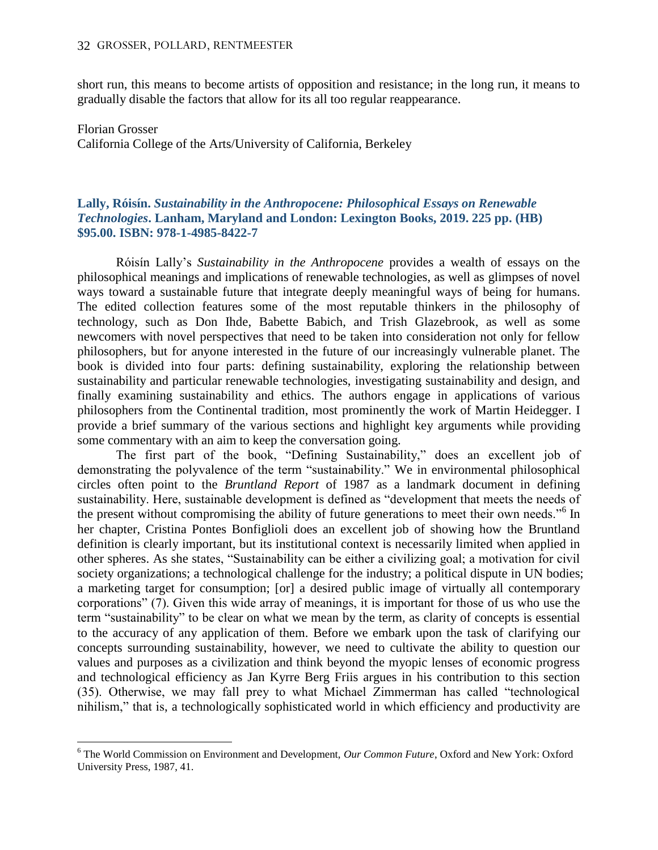$\overline{a}$ 

short run, this means to become artists of opposition and resistance; in the long run, it means to gradually disable the factors that allow for its all too regular reappearance.

Florian Grosser California College of the Arts/University of California, Berkeley

## **Lally, Róisín.** *Sustainability in the Anthropocene: Philosophical Essays on Renewable Technologies***. Lanham, Maryland and London: Lexington Books, 2019. 225 pp. (HB) \$95.00. ISBN: 978-1-4985-8422-7**

Róisín Lally's *Sustainability in the Anthropocene* provides a wealth of essays on the philosophical meanings and implications of renewable technologies, as well as glimpses of novel ways toward a sustainable future that integrate deeply meaningful ways of being for humans. The edited collection features some of the most reputable thinkers in the philosophy of technology, such as Don Ihde, Babette Babich, and Trish Glazebrook, as well as some newcomers with novel perspectives that need to be taken into consideration not only for fellow philosophers, but for anyone interested in the future of our increasingly vulnerable planet. The book is divided into four parts: defining sustainability, exploring the relationship between sustainability and particular renewable technologies, investigating sustainability and design, and finally examining sustainability and ethics. The authors engage in applications of various philosophers from the Continental tradition, most prominently the work of Martin Heidegger. I provide a brief summary of the various sections and highlight key arguments while providing some commentary with an aim to keep the conversation going.

The first part of the book, "Defining Sustainability," does an excellent job of demonstrating the polyvalence of the term "sustainability." We in environmental philosophical circles often point to the *Bruntland Report* of 1987 as a landmark document in defining sustainability. Here, sustainable development is defined as "development that meets the needs of the present without compromising the ability of future generations to meet their own needs."<sup>6</sup> In her chapter, Cristina Pontes Bonfiglioli does an excellent job of showing how the Bruntland definition is clearly important, but its institutional context is necessarily limited when applied in other spheres. As she states, "Sustainability can be either a civilizing goal; a motivation for civil society organizations; a technological challenge for the industry; a political dispute in UN bodies; a marketing target for consumption; [or] a desired public image of virtually all contemporary corporations" (7). Given this wide array of meanings, it is important for those of us who use the term "sustainability" to be clear on what we mean by the term, as clarity of concepts is essential to the accuracy of any application of them. Before we embark upon the task of clarifying our concepts surrounding sustainability, however, we need to cultivate the ability to question our values and purposes as a civilization and think beyond the myopic lenses of economic progress and technological efficiency as Jan Kyrre Berg Friis argues in his contribution to this section (35). Otherwise, we may fall prey to what Michael Zimmerman has called "technological nihilism," that is, a technologically sophisticated world in which efficiency and productivity are

<sup>6</sup> The World Commission on Environment and Development, *Our Common Future*, Oxford and New York: Oxford University Press, 1987, 41.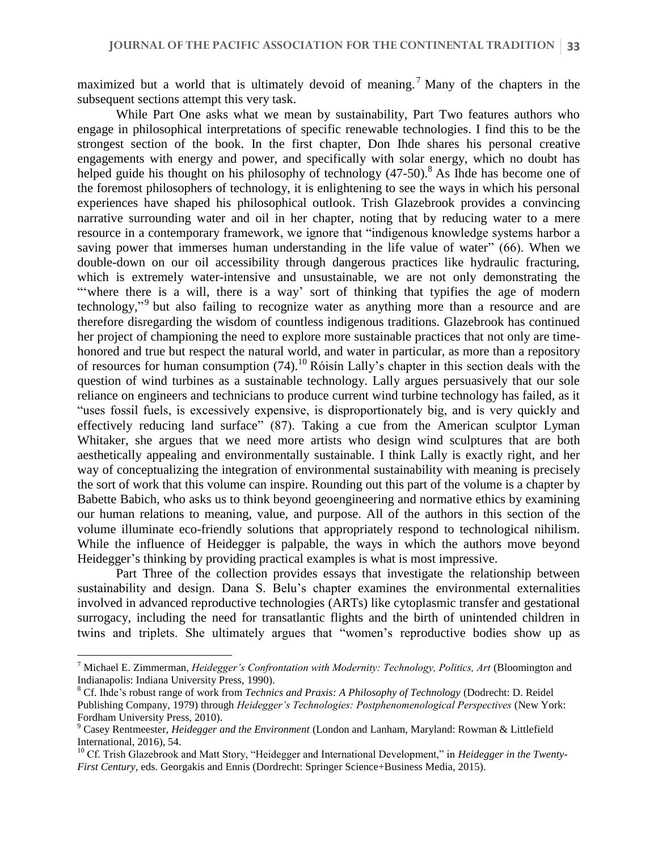maximized but a world that is ultimately devoid of meaning.<sup>7</sup> Many of the chapters in the subsequent sections attempt this very task.

While Part One asks what we mean by sustainability, Part Two features authors who engage in philosophical interpretations of specific renewable technologies. I find this to be the strongest section of the book. In the first chapter, Don Ihde shares his personal creative engagements with energy and power, and specifically with solar energy, which no doubt has helped guide his thought on his philosophy of technology (47-50).<sup>8</sup> As Ihde has become one of the foremost philosophers of technology, it is enlightening to see the ways in which his personal experiences have shaped his philosophical outlook. Trish Glazebrook provides a convincing narrative surrounding water and oil in her chapter, noting that by reducing water to a mere resource in a contemporary framework, we ignore that "indigenous knowledge systems harbor a saving power that immerses human understanding in the life value of water" (66). When we double-down on our oil accessibility through dangerous practices like hydraulic fracturing, which is extremely water-intensive and unsustainable, we are not only demonstrating the "where there is a will, there is a way' sort of thinking that typifies the age of modern technology,"<sup>9</sup> but also failing to recognize water as anything more than a resource and are therefore disregarding the wisdom of countless indigenous traditions. Glazebrook has continued her project of championing the need to explore more sustainable practices that not only are timehonored and true but respect the natural world, and water in particular, as more than a repository of resources for human consumption  $(74)$ .<sup>10</sup> Róisín Lally's chapter in this section deals with the question of wind turbines as a sustainable technology. Lally argues persuasively that our sole reliance on engineers and technicians to produce current wind turbine technology has failed, as it "uses fossil fuels, is excessively expensive, is disproportionately big, and is very quickly and effectively reducing land surface" (87). Taking a cue from the American sculptor Lyman Whitaker, she argues that we need more artists who design wind sculptures that are both aesthetically appealing and environmentally sustainable. I think Lally is exactly right, and her way of conceptualizing the integration of environmental sustainability with meaning is precisely the sort of work that this volume can inspire. Rounding out this part of the volume is a chapter by Babette Babich, who asks us to think beyond geoengineering and normative ethics by examining our human relations to meaning, value, and purpose. All of the authors in this section of the volume illuminate eco-friendly solutions that appropriately respond to technological nihilism. While the influence of Heidegger is palpable, the ways in which the authors move beyond Heidegger's thinking by providing practical examples is what is most impressive.

Part Three of the collection provides essays that investigate the relationship between sustainability and design. Dana S. Belu's chapter examines the environmental externalities involved in advanced reproductive technologies (ARTs) like cytoplasmic transfer and gestational surrogacy, including the need for transatlantic flights and the birth of unintended children in twins and triplets. She ultimately argues that "women's reproductive bodies show up as

<sup>7</sup> Michael E. Zimmerman, *Heidegger's Confrontation with Modernity: Technology, Politics, Art* (Bloomington and Indianapolis: Indiana University Press, 1990).

<sup>8</sup> Cf. Ihde's robust range of work from *Technics and Praxis: A Philosophy of Technology* (Dodrecht: D. Reidel Publishing Company, 1979) through *Heidegger's Technologies: Postphenomenological Perspectives* (New York: Fordham University Press, 2010).

<sup>9</sup> Casey Rentmeester, *Heidegger and the Environment* (London and Lanham, Maryland: Rowman & Littlefield International, 2016), 54.

<sup>&</sup>lt;sup>10</sup> Cf. Trish Glazebrook and Matt Story, "Heidegger and International Development," in *Heidegger in the Twenty-First Century*, eds. Georgakis and Ennis (Dordrecht: Springer Science+Business Media, 2015).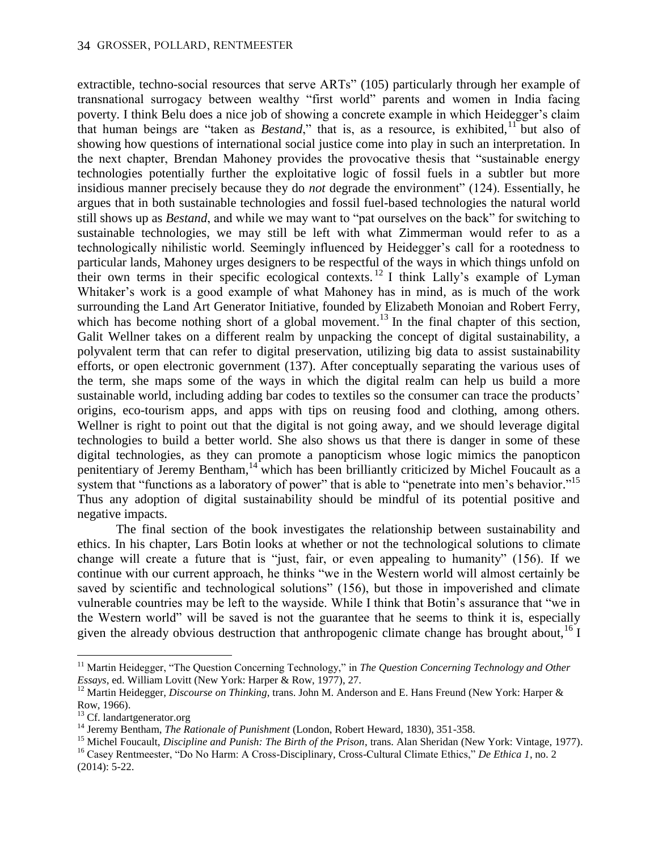extractible, techno-social resources that serve ARTs" (105) particularly through her example of transnational surrogacy between wealthy "first world" parents and women in India facing poverty. I think Belu does a nice job of showing a concrete example in which Heidegger's claim that human beings are "taken as *Bestand*," that is, as a resource, is exhibited, <sup>11</sup> but also of showing how questions of international social justice come into play in such an interpretation. In the next chapter, Brendan Mahoney provides the provocative thesis that "sustainable energy technologies potentially further the exploitative logic of fossil fuels in a subtler but more insidious manner precisely because they do *not* degrade the environment" (124). Essentially, he argues that in both sustainable technologies and fossil fuel-based technologies the natural world still shows up as *Bestand*, and while we may want to "pat ourselves on the back" for switching to sustainable technologies, we may still be left with what Zimmerman would refer to as a technologically nihilistic world. Seemingly influenced by Heidegger's call for a rootedness to particular lands, Mahoney urges designers to be respectful of the ways in which things unfold on their own terms in their specific ecological contexts.<sup>12</sup> I think Lally's example of Lyman Whitaker's work is a good example of what Mahoney has in mind, as is much of the work surrounding the Land Art Generator Initiative, founded by Elizabeth Monoian and Robert Ferry, which has become nothing short of a global movement.<sup>13</sup> In the final chapter of this section, Galit Wellner takes on a different realm by unpacking the concept of digital sustainability, a polyvalent term that can refer to digital preservation, utilizing big data to assist sustainability efforts, or open electronic government (137). After conceptually separating the various uses of the term, she maps some of the ways in which the digital realm can help us build a more sustainable world, including adding bar codes to textiles so the consumer can trace the products' origins, eco-tourism apps, and apps with tips on reusing food and clothing, among others. Wellner is right to point out that the digital is not going away, and we should leverage digital technologies to build a better world. She also shows us that there is danger in some of these digital technologies, as they can promote a panopticism whose logic mimics the panopticon penitentiary of Jeremy Bentham,<sup>14</sup> which has been brilliantly criticized by Michel Foucault as a system that "functions as a laboratory of power" that is able to "penetrate into men's behavior."<sup>15</sup> Thus any adoption of digital sustainability should be mindful of its potential positive and negative impacts.

The final section of the book investigates the relationship between sustainability and ethics. In his chapter, Lars Botin looks at whether or not the technological solutions to climate change will create a future that is "just, fair, or even appealing to humanity" (156). If we continue with our current approach, he thinks "we in the Western world will almost certainly be saved by scientific and technological solutions" (156), but those in impoverished and climate vulnerable countries may be left to the wayside. While I think that Botin's assurance that "we in the Western world" will be saved is not the guarantee that he seems to think it is, especially given the already obvious destruction that anthropogenic climate change has brought about,<sup>16</sup> I

<sup>&</sup>lt;sup>11</sup> Martin Heidegger, "The Question Concerning Technology," in *The Question Concerning Technology and Other Essays*, ed. William Lovitt (New York: Harper & Row, 1977), 27.

<sup>&</sup>lt;sup>12</sup> Martin Heidegger, *Discourse on Thinking*, trans. John M. Anderson and E. Hans Freund (New York: Harper & Row, 1966).

<sup>&</sup>lt;sup>13</sup> Cf. landartgenerator.org

<sup>14</sup> Jeremy Bentham, *The Rationale of Punishment* (London, Robert Heward, 1830), 351-358.

<sup>15</sup> Michel Foucault, *Discipline and Punish: The Birth of the Prison*, trans. Alan Sheridan (New York: Vintage, 1977). <sup>16</sup> Casey Rentmeester, "Do No Harm: A Cross-Disciplinary, Cross-Cultural Climate Ethics," *De Ethica 1*, no. 2

<sup>(2014): 5-22.</sup>